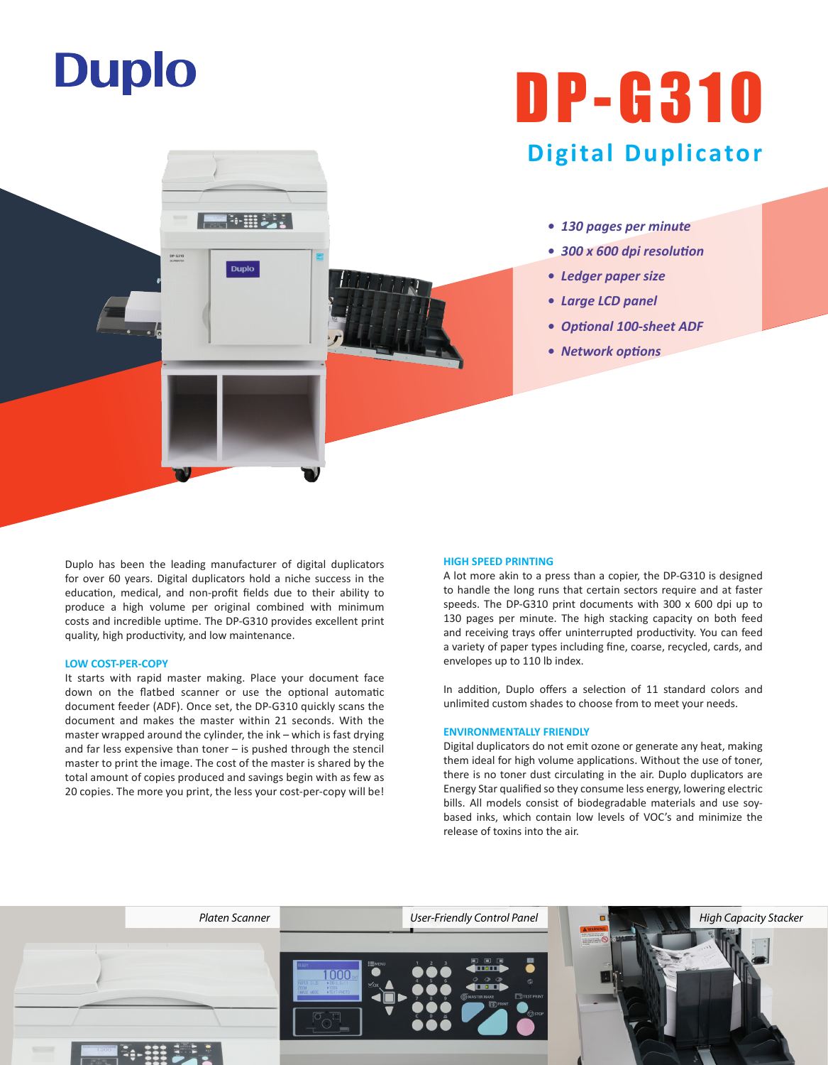# **Duplo**

## DP-G310 **Digital Duplicator**

- *130 pages per minute*
- *300 x 600 dpi resolution*
- *Ledger paper size*
- *Large LCD panel*
- *Optional 100-sheet ADF*
- *Network options*

Duplo has been the leading manufacturer of digital duplicators for over 60 years. Digital duplicators hold a niche success in the education, medical, and non-profit fields due to their ability to produce a high volume per original combined with minimum costs and incredible uptime. The DP-G310 provides excellent print quality, high productivity, and low maintenance.

【海田美美】

**Duplo** 

#### **LOW COST-PER-COPY**

It starts with rapid master making. Place your document face down on the flatbed scanner or use the optional automatic document feeder (ADF). Once set, the DP-G310 quickly scans the document and makes the master within 21 seconds. With the master wrapped around the cylinder, the ink – which is fast drying and far less expensive than toner – is pushed through the stencil master to print the image. The cost of the master is shared by the total amount of copies produced and savings begin with as few as 20 copies. The more you print, the less your cost-per-copy will be!

#### **HIGH SPEED PRINTING**

A lot more akin to a press than a copier, the DP-G310 is designed to handle the long runs that certain sectors require and at faster speeds. The DP-G310 print documents with 300 x 600 dpi up to 130 pages per minute. The high stacking capacity on both feed and receiving trays offer uninterrupted productivity. You can feed a variety of paper types including fine, coarse, recycled, cards, and envelopes up to 110 lb index.

In addition, Duplo offers a selection of 11 standard colors and unlimited custom shades to choose from to meet your needs.

#### **ENVIRONMENTALLY FRIENDLY**

Digital duplicators do not emit ozone or generate any heat, making them ideal for high volume applications. Without the use of toner, there is no toner dust circulating in the air. Duplo duplicators are Energy Star qualified so they consume less energy, lowering electric bills. All models consist of biodegradable materials and use soybased inks, which contain low levels of VOC's and minimize the release of toxins into the air.